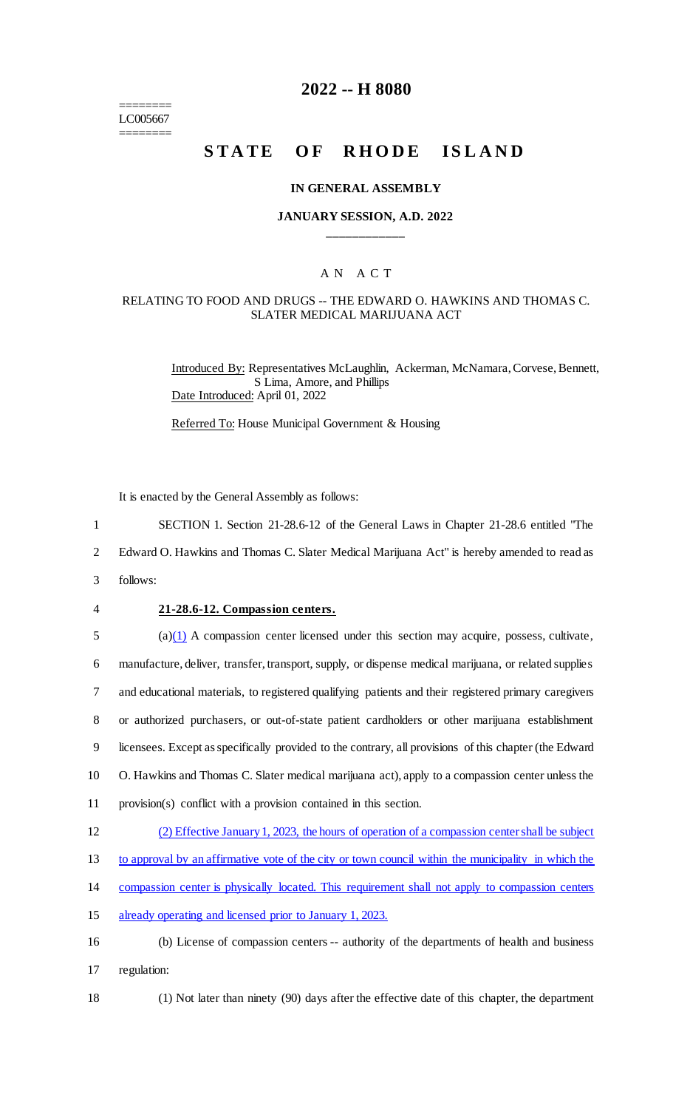======== LC005667 ========

## **2022 -- H 8080**

# **STATE OF RHODE ISLAND**

#### **IN GENERAL ASSEMBLY**

#### **JANUARY SESSION, A.D. 2022 \_\_\_\_\_\_\_\_\_\_\_\_**

#### A N A C T

#### RELATING TO FOOD AND DRUGS -- THE EDWARD O. HAWKINS AND THOMAS C. SLATER MEDICAL MARIJUANA ACT

Introduced By: Representatives McLaughlin, Ackerman, McNamara, Corvese, Bennett, S Lima, Amore, and Phillips Date Introduced: April 01, 2022

Referred To: House Municipal Government & Housing

It is enacted by the General Assembly as follows:

- 1 SECTION 1. Section 21-28.6-12 of the General Laws in Chapter 21-28.6 entitled "The
- 2 Edward O. Hawkins and Thomas C. Slater Medical Marijuana Act" is hereby amended to read as
- 3 follows:
- 

#### 4 **21-28.6-12. Compassion centers.**

 $5$  (a)(1) A compassion center licensed under this section may acquire, possess, cultivate,

6 manufacture, deliver, transfer, transport, supply, or dispense medical marijuana, or related supplies

7 and educational materials, to registered qualifying patients and their registered primary caregivers

8 or authorized purchasers, or out-of-state patient cardholders or other marijuana establishment

9 licensees. Except as specifically provided to the contrary, all provisions of this chapter (the Edward

10 O. Hawkins and Thomas C. Slater medical marijuana act), apply to a compassion center unless the

- 11 provision(s) conflict with a provision contained in this section.
- 12 (2) Effective January 1, 2023, the hours of operation of a compassion center shall be subject
- 13 to approval by an affirmative vote of the city or town council within the municipality in which the
- 14 compassion center is physically located. This requirement shall not apply to compassion centers
- 15 already operating and licensed prior to January 1, 2023.
- 16 (b) License of compassion centers -- authority of the departments of health and business
- 17 regulation:
- 

18 (1) Not later than ninety (90) days after the effective date of this chapter, the department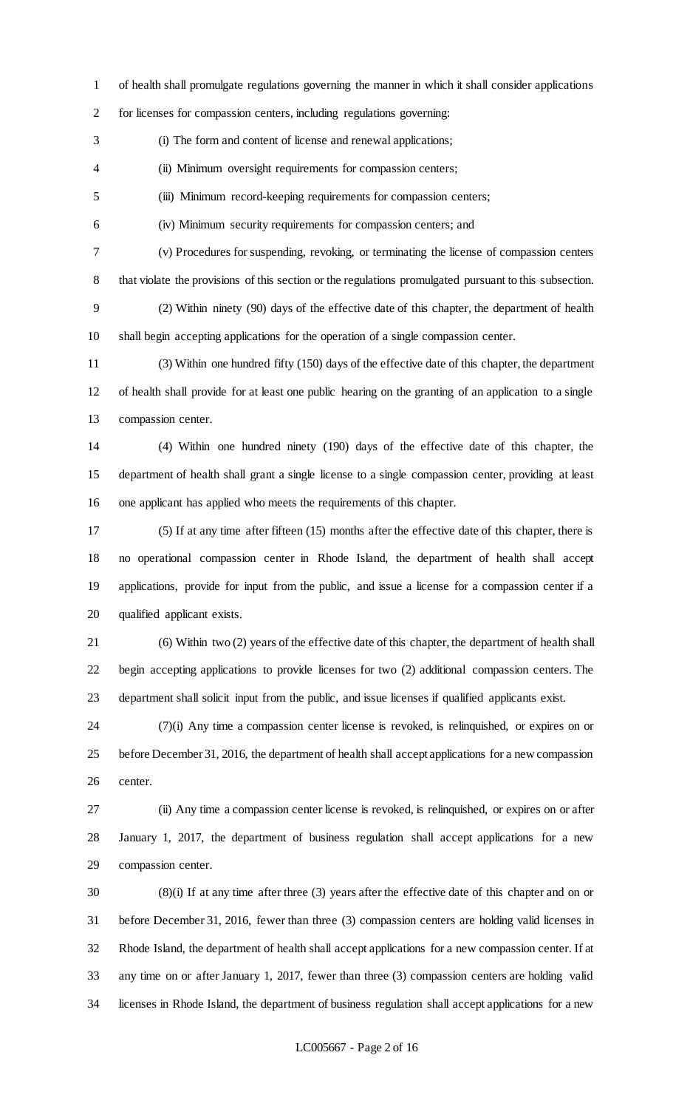of health shall promulgate regulations governing the manner in which it shall consider applications

for licenses for compassion centers, including regulations governing:

(i) The form and content of license and renewal applications;

(ii) Minimum oversight requirements for compassion centers;

(iii) Minimum record-keeping requirements for compassion centers;

(iv) Minimum security requirements for compassion centers; and

(v) Procedures for suspending, revoking, or terminating the license of compassion centers

that violate the provisions of this section or the regulations promulgated pursuant to this subsection.

 (2) Within ninety (90) days of the effective date of this chapter, the department of health shall begin accepting applications for the operation of a single compassion center.

 (3) Within one hundred fifty (150) days of the effective date of this chapter, the department of health shall provide for at least one public hearing on the granting of an application to a single compassion center.

 (4) Within one hundred ninety (190) days of the effective date of this chapter, the department of health shall grant a single license to a single compassion center, providing at least one applicant has applied who meets the requirements of this chapter.

 (5) If at any time after fifteen (15) months after the effective date of this chapter, there is no operational compassion center in Rhode Island, the department of health shall accept applications, provide for input from the public, and issue a license for a compassion center if a qualified applicant exists.

 (6) Within two (2) years of the effective date of this chapter, the department of health shall begin accepting applications to provide licenses for two (2) additional compassion centers. The department shall solicit input from the public, and issue licenses if qualified applicants exist.

 (7)(i) Any time a compassion center license is revoked, is relinquished, or expires on or before December 31, 2016, the department of health shall accept applications for a new compassion center.

 (ii) Any time a compassion center license is revoked, is relinquished, or expires on or after January 1, 2017, the department of business regulation shall accept applications for a new compassion center.

 (8)(i) If at any time after three (3) years after the effective date of this chapter and on or before December 31, 2016, fewer than three (3) compassion centers are holding valid licenses in Rhode Island, the department of health shall accept applications for a new compassion center. If at any time on or after January 1, 2017, fewer than three (3) compassion centers are holding valid licenses in Rhode Island, the department of business regulation shall accept applications for a new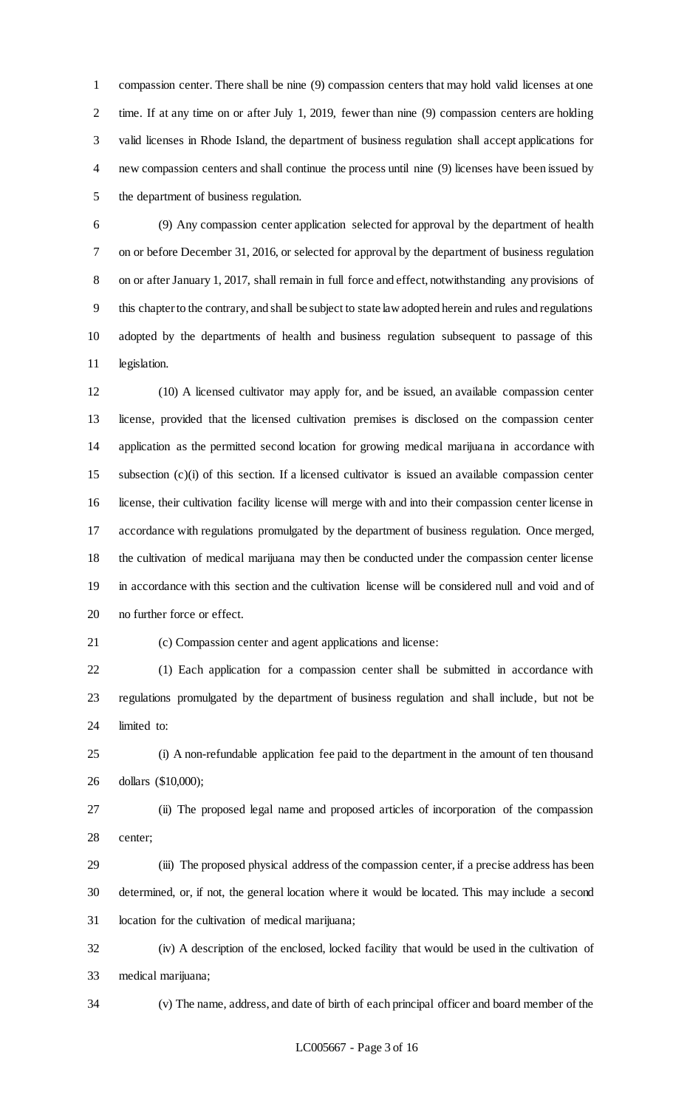compassion center. There shall be nine (9) compassion centers that may hold valid licenses at one time. If at any time on or after July 1, 2019, fewer than nine (9) compassion centers are holding valid licenses in Rhode Island, the department of business regulation shall accept applications for new compassion centers and shall continue the process until nine (9) licenses have been issued by the department of business regulation.

 (9) Any compassion center application selected for approval by the department of health on or before December 31, 2016, or selected for approval by the department of business regulation on or after January 1, 2017, shall remain in full force and effect, notwithstanding any provisions of this chapter to the contrary, and shall be subject to state law adopted herein and rules and regulations adopted by the departments of health and business regulation subsequent to passage of this legislation.

 (10) A licensed cultivator may apply for, and be issued, an available compassion center license, provided that the licensed cultivation premises is disclosed on the compassion center application as the permitted second location for growing medical marijuana in accordance with subsection (c)(i) of this section. If a licensed cultivator is issued an available compassion center license, their cultivation facility license will merge with and into their compassion center license in accordance with regulations promulgated by the department of business regulation. Once merged, the cultivation of medical marijuana may then be conducted under the compassion center license in accordance with this section and the cultivation license will be considered null and void and of no further force or effect.

(c) Compassion center and agent applications and license:

 (1) Each application for a compassion center shall be submitted in accordance with regulations promulgated by the department of business regulation and shall include, but not be limited to:

 (i) A non-refundable application fee paid to the department in the amount of ten thousand dollars (\$10,000);

 (ii) The proposed legal name and proposed articles of incorporation of the compassion center;

 (iii) The proposed physical address of the compassion center, if a precise address has been determined, or, if not, the general location where it would be located. This may include a second location for the cultivation of medical marijuana;

 (iv) A description of the enclosed, locked facility that would be used in the cultivation of medical marijuana;

(v) The name, address, and date of birth of each principal officer and board member of the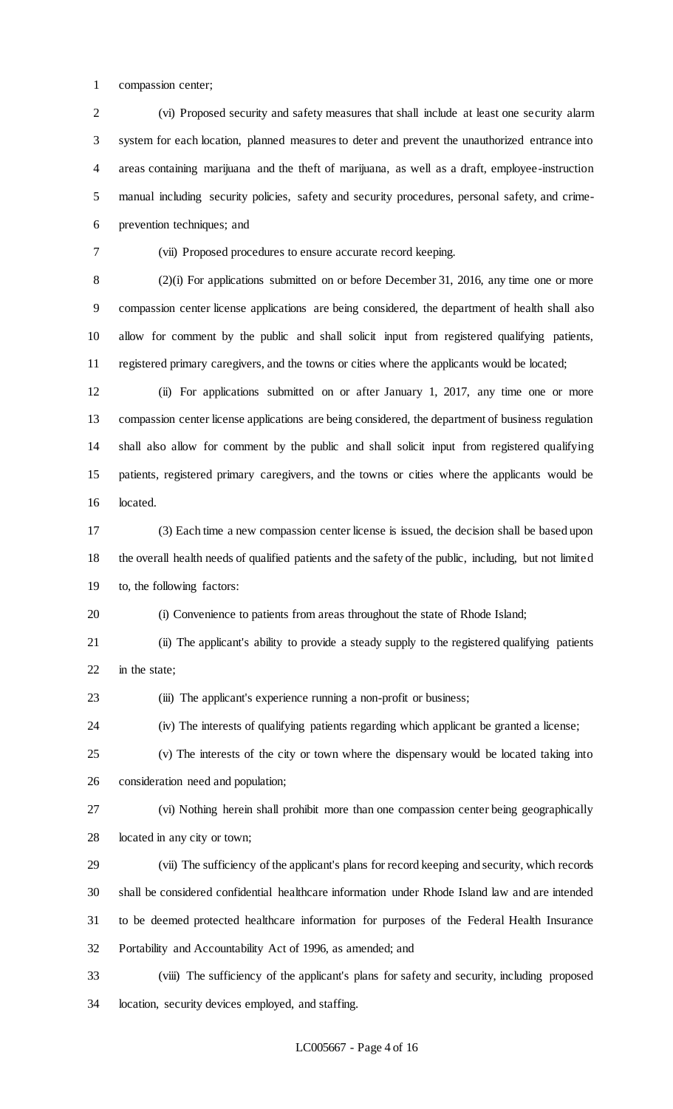compassion center;

 (vi) Proposed security and safety measures that shall include at least one security alarm system for each location, planned measures to deter and prevent the unauthorized entrance into areas containing marijuana and the theft of marijuana, as well as a draft, employee-instruction manual including security policies, safety and security procedures, personal safety, and crime-prevention techniques; and

(vii) Proposed procedures to ensure accurate record keeping.

 (2)(i) For applications submitted on or before December 31, 2016, any time one or more compassion center license applications are being considered, the department of health shall also allow for comment by the public and shall solicit input from registered qualifying patients, registered primary caregivers, and the towns or cities where the applicants would be located;

 (ii) For applications submitted on or after January 1, 2017, any time one or more compassion center license applications are being considered, the department of business regulation shall also allow for comment by the public and shall solicit input from registered qualifying patients, registered primary caregivers, and the towns or cities where the applicants would be located.

 (3) Each time a new compassion center license is issued, the decision shall be based upon the overall health needs of qualified patients and the safety of the public, including, but not limited to, the following factors:

(i) Convenience to patients from areas throughout the state of Rhode Island;

 (ii) The applicant's ability to provide a steady supply to the registered qualifying patients in the state;

(iii) The applicant's experience running a non-profit or business;

(iv) The interests of qualifying patients regarding which applicant be granted a license;

 (v) The interests of the city or town where the dispensary would be located taking into consideration need and population;

 (vi) Nothing herein shall prohibit more than one compassion center being geographically located in any city or town;

 (vii) The sufficiency of the applicant's plans for record keeping and security, which records shall be considered confidential healthcare information under Rhode Island law and are intended to be deemed protected healthcare information for purposes of the Federal Health Insurance Portability and Accountability Act of 1996, as amended; and

 (viii) The sufficiency of the applicant's plans for safety and security, including proposed location, security devices employed, and staffing.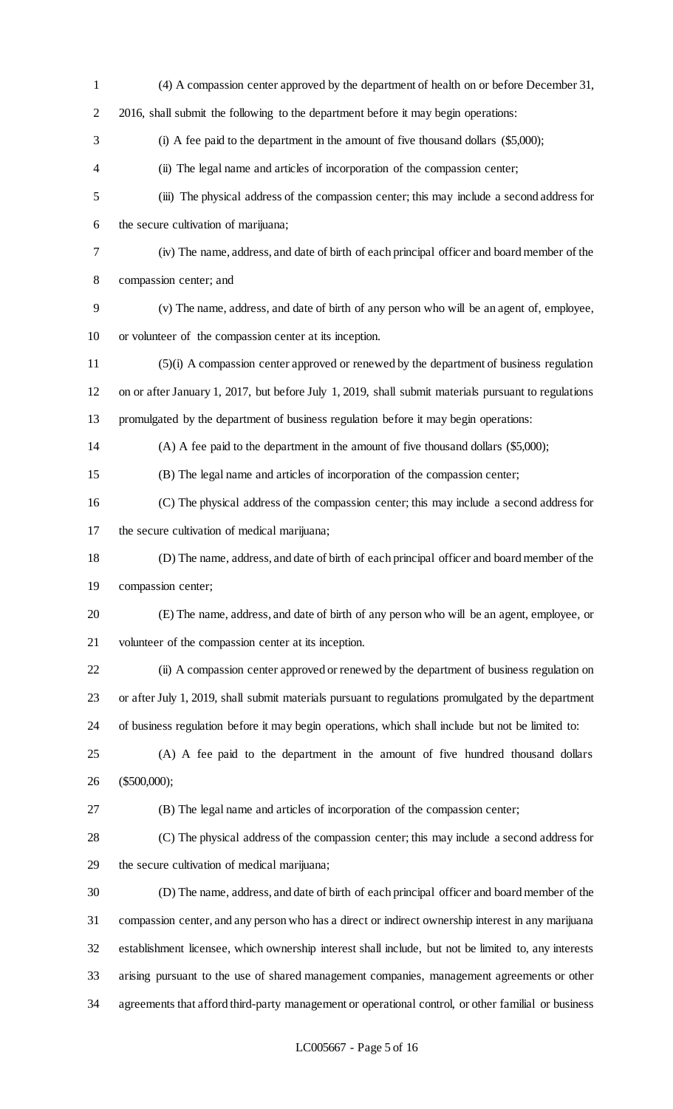(4) A compassion center approved by the department of health on or before December 31, 2016, shall submit the following to the department before it may begin operations: (i) A fee paid to the department in the amount of five thousand dollars (\$5,000); (ii) The legal name and articles of incorporation of the compassion center; (iii) The physical address of the compassion center; this may include a second address for the secure cultivation of marijuana; (iv) The name, address, and date of birth of each principal officer and board member of the compassion center; and (v) The name, address, and date of birth of any person who will be an agent of, employee, or volunteer of the compassion center at its inception. (5)(i) A compassion center approved or renewed by the department of business regulation on or after January 1, 2017, but before July 1, 2019, shall submit materials pursuant to regulations promulgated by the department of business regulation before it may begin operations: (A) A fee paid to the department in the amount of five thousand dollars (\$5,000); (B) The legal name and articles of incorporation of the compassion center; (C) The physical address of the compassion center; this may include a second address for the secure cultivation of medical marijuana; (D) The name, address, and date of birth of each principal officer and board member of the compassion center; (E) The name, address, and date of birth of any person who will be an agent, employee, or volunteer of the compassion center at its inception. (ii) A compassion center approved or renewed by the department of business regulation on or after July 1, 2019, shall submit materials pursuant to regulations promulgated by the department of business regulation before it may begin operations, which shall include but not be limited to: (A) A fee paid to the department in the amount of five hundred thousand dollars (\$500,000); (B) The legal name and articles of incorporation of the compassion center; (C) The physical address of the compassion center; this may include a second address for the secure cultivation of medical marijuana; (D) The name, address, and date of birth of each principal officer and board member of the compassion center, and any person who has a direct or indirect ownership interest in any marijuana establishment licensee, which ownership interest shall include, but not be limited to, any interests arising pursuant to the use of shared management companies, management agreements or other agreements that afford third-party management or operational control, or other familial or business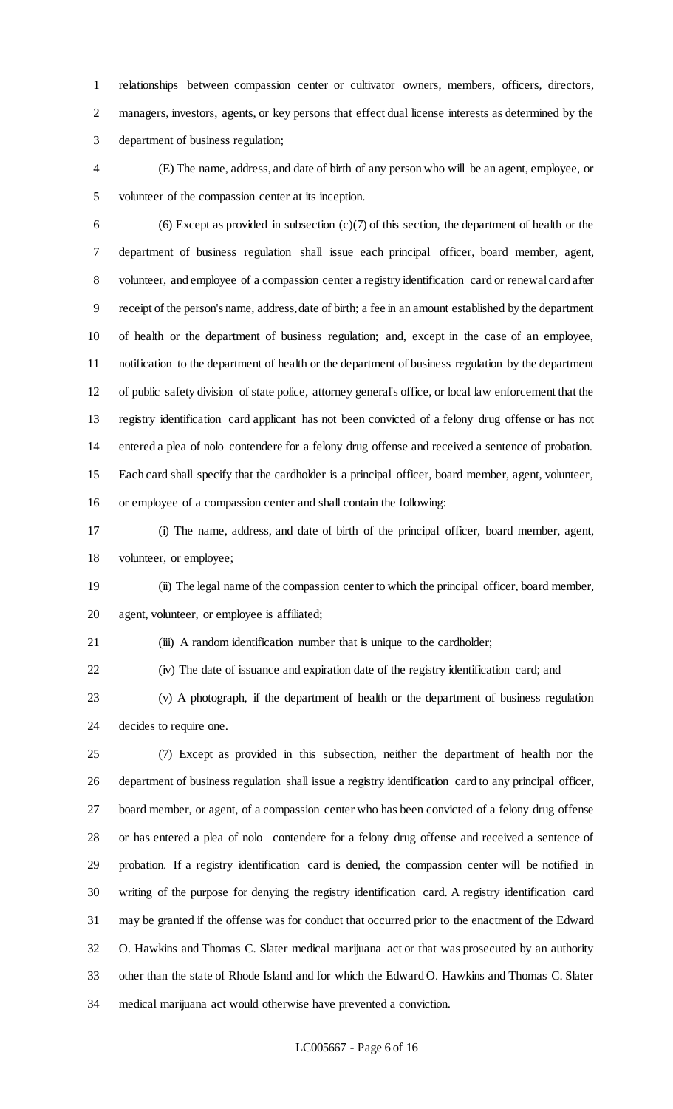relationships between compassion center or cultivator owners, members, officers, directors, managers, investors, agents, or key persons that effect dual license interests as determined by the department of business regulation;

 (E) The name, address, and date of birth of any person who will be an agent, employee, or volunteer of the compassion center at its inception.

6 (6) Except as provided in subsection  $(c)(7)$  of this section, the department of health or the department of business regulation shall issue each principal officer, board member, agent, volunteer, and employee of a compassion center a registry identification card or renewal card after receipt of the person's name, address, date of birth; a fee in an amount established by the department of health or the department of business regulation; and, except in the case of an employee, notification to the department of health or the department of business regulation by the department of public safety division of state police, attorney general's office, or local law enforcement that the registry identification card applicant has not been convicted of a felony drug offense or has not entered a plea of nolo contendere for a felony drug offense and received a sentence of probation. Each card shall specify that the cardholder is a principal officer, board member, agent, volunteer, or employee of a compassion center and shall contain the following:

 (i) The name, address, and date of birth of the principal officer, board member, agent, volunteer, or employee;

 (ii) The legal name of the compassion center to which the principal officer, board member, agent, volunteer, or employee is affiliated;

(iii) A random identification number that is unique to the cardholder;

(iv) The date of issuance and expiration date of the registry identification card; and

 (v) A photograph, if the department of health or the department of business regulation decides to require one.

 (7) Except as provided in this subsection, neither the department of health nor the department of business regulation shall issue a registry identification card to any principal officer, board member, or agent, of a compassion center who has been convicted of a felony drug offense or has entered a plea of nolo contendere for a felony drug offense and received a sentence of probation. If a registry identification card is denied, the compassion center will be notified in writing of the purpose for denying the registry identification card. A registry identification card may be granted if the offense was for conduct that occurred prior to the enactment of the Edward O. Hawkins and Thomas C. Slater medical marijuana act or that was prosecuted by an authority other than the state of Rhode Island and for which the Edward O. Hawkins and Thomas C. Slater medical marijuana act would otherwise have prevented a conviction.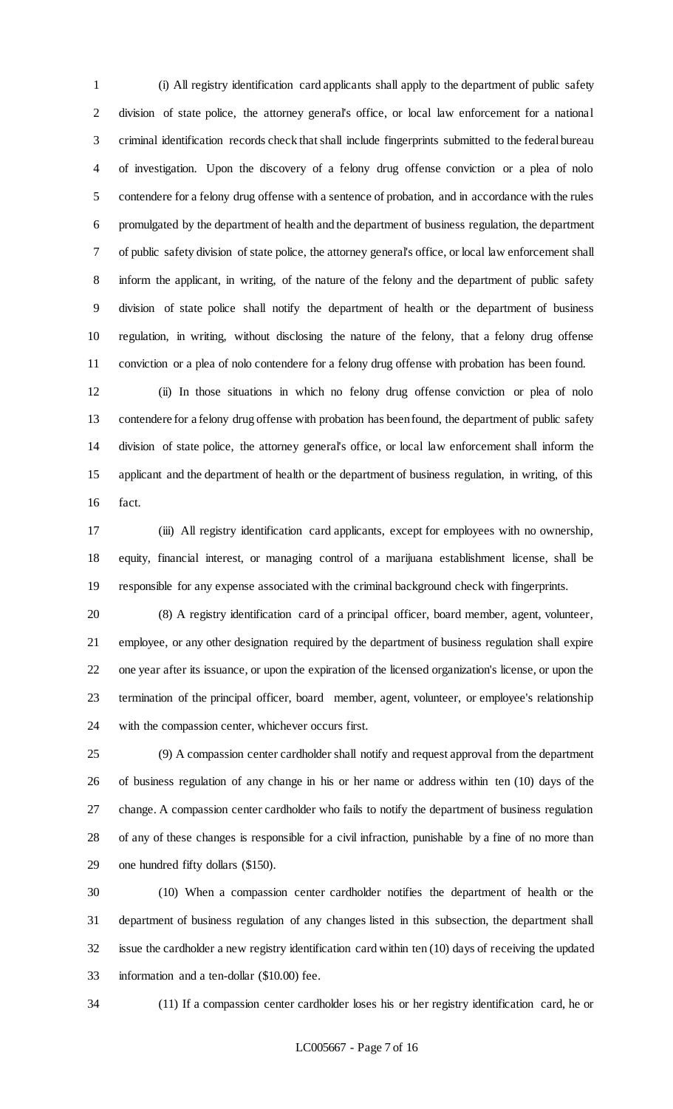(i) All registry identification card applicants shall apply to the department of public safety division of state police, the attorney general's office, or local law enforcement for a national criminal identification records check that shall include fingerprints submitted to the federal bureau of investigation. Upon the discovery of a felony drug offense conviction or a plea of nolo contendere for a felony drug offense with a sentence of probation, and in accordance with the rules promulgated by the department of health and the department of business regulation, the department of public safety division of state police, the attorney general's office, or local law enforcement shall inform the applicant, in writing, of the nature of the felony and the department of public safety division of state police shall notify the department of health or the department of business regulation, in writing, without disclosing the nature of the felony, that a felony drug offense conviction or a plea of nolo contendere for a felony drug offense with probation has been found.

 (ii) In those situations in which no felony drug offense conviction or plea of nolo contendere for a felony drug offense with probation has been found, the department of public safety division of state police, the attorney general's office, or local law enforcement shall inform the applicant and the department of health or the department of business regulation, in writing, of this fact.

 (iii) All registry identification card applicants, except for employees with no ownership, equity, financial interest, or managing control of a marijuana establishment license, shall be responsible for any expense associated with the criminal background check with fingerprints.

 (8) A registry identification card of a principal officer, board member, agent, volunteer, employee, or any other designation required by the department of business regulation shall expire one year after its issuance, or upon the expiration of the licensed organization's license, or upon the termination of the principal officer, board member, agent, volunteer, or employee's relationship with the compassion center, whichever occurs first.

 (9) A compassion center cardholder shall notify and request approval from the department of business regulation of any change in his or her name or address within ten (10) days of the change. A compassion center cardholder who fails to notify the department of business regulation of any of these changes is responsible for a civil infraction, punishable by a fine of no more than one hundred fifty dollars (\$150).

 (10) When a compassion center cardholder notifies the department of health or the department of business regulation of any changes listed in this subsection, the department shall issue the cardholder a new registry identification card within ten (10) days of receiving the updated information and a ten-dollar (\$10.00) fee.

(11) If a compassion center cardholder loses his or her registry identification card, he or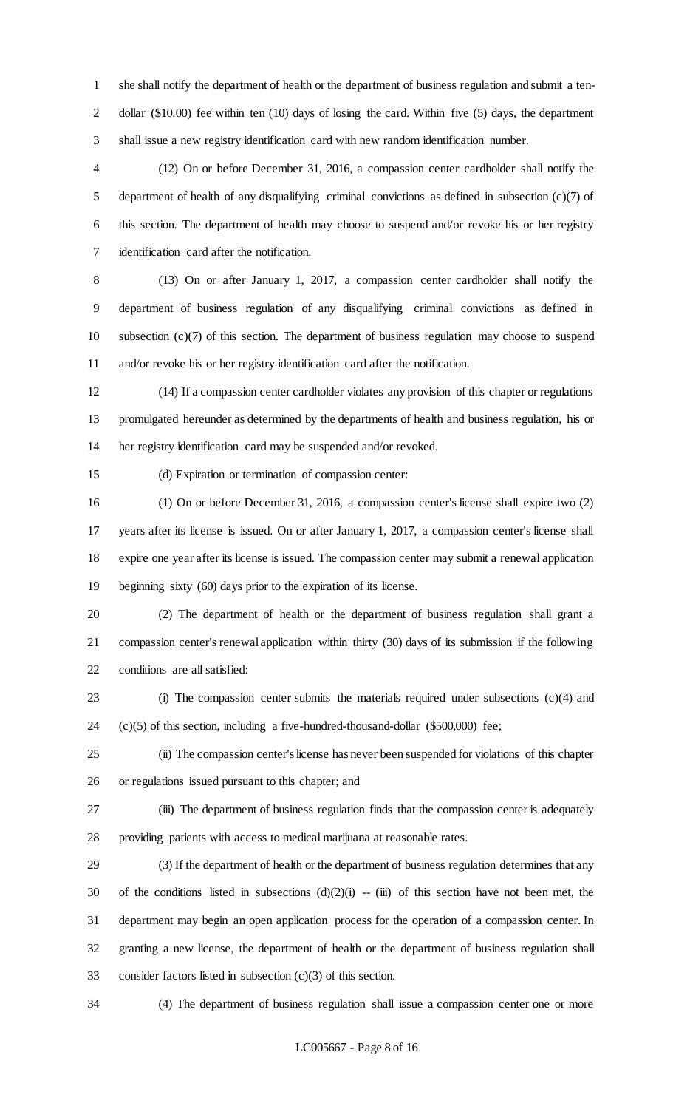she shall notify the department of health or the department of business regulation and submit a ten-2 dollar (\$10.00) fee within ten (10) days of losing the card. Within five (5) days, the department shall issue a new registry identification card with new random identification number.

 (12) On or before December 31, 2016, a compassion center cardholder shall notify the department of health of any disqualifying criminal convictions as defined in subsection (c)(7) of this section. The department of health may choose to suspend and/or revoke his or her registry identification card after the notification.

 (13) On or after January 1, 2017, a compassion center cardholder shall notify the department of business regulation of any disqualifying criminal convictions as defined in subsection (c)(7) of this section. The department of business regulation may choose to suspend and/or revoke his or her registry identification card after the notification.

 (14) If a compassion center cardholder violates any provision of this chapter or regulations promulgated hereunder as determined by the departments of health and business regulation, his or her registry identification card may be suspended and/or revoked.

(d) Expiration or termination of compassion center:

 (1) On or before December 31, 2016, a compassion center's license shall expire two (2) years after its license is issued. On or after January 1, 2017, a compassion center's license shall expire one year after its license is issued. The compassion center may submit a renewal application beginning sixty (60) days prior to the expiration of its license.

 (2) The department of health or the department of business regulation shall grant a compassion center's renewal application within thirty (30) days of its submission if the following conditions are all satisfied:

 (i) The compassion center submits the materials required under subsections (c)(4) and (c)(5) of this section, including a five-hundred-thousand-dollar (\$500,000) fee;

 (ii) The compassion center's license has never been suspended for violations of this chapter or regulations issued pursuant to this chapter; and

 (iii) The department of business regulation finds that the compassion center is adequately providing patients with access to medical marijuana at reasonable rates.

 (3) If the department of health or the department of business regulation determines that any 30 of the conditions listed in subsections  $(d)(2)(i) - (iii)$  of this section have not been met, the department may begin an open application process for the operation of a compassion center. In granting a new license, the department of health or the department of business regulation shall consider factors listed in subsection (c)(3) of this section.

(4) The department of business regulation shall issue a compassion center one or more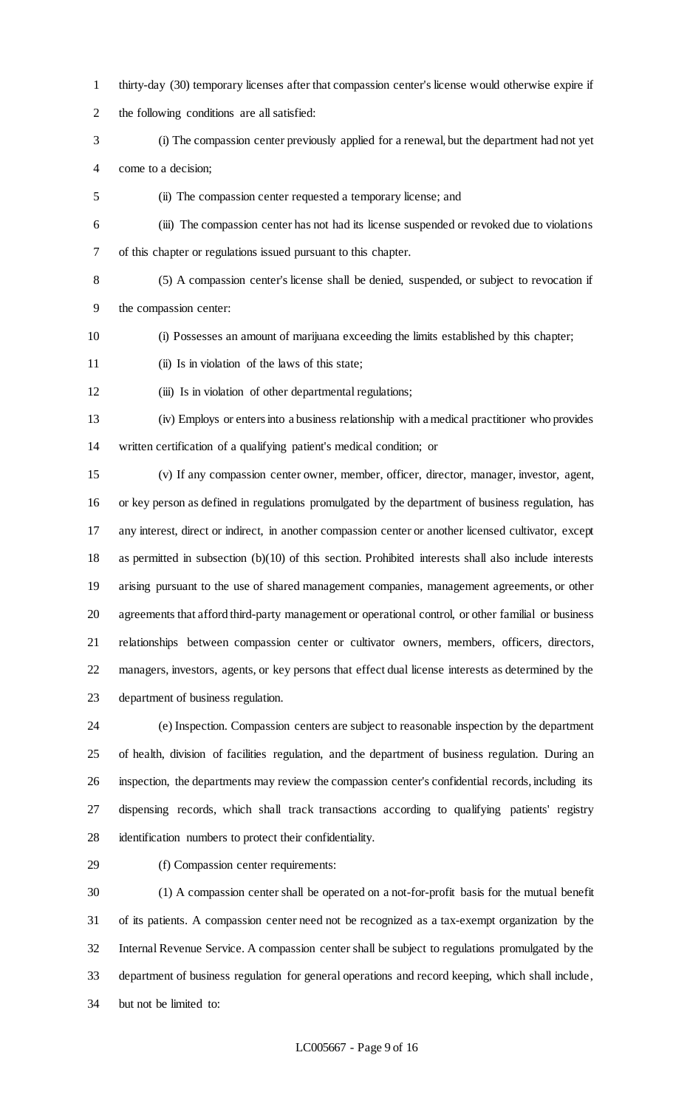- thirty-day (30) temporary licenses after that compassion center's license would otherwise expire if the following conditions are all satisfied:
- (i) The compassion center previously applied for a renewal, but the department had not yet come to a decision;
- (ii) The compassion center requested a temporary license; and
- (iii) The compassion center has not had its license suspended or revoked due to violations of this chapter or regulations issued pursuant to this chapter.
- (5) A compassion center's license shall be denied, suspended, or subject to revocation if the compassion center:
- (i) Possesses an amount of marijuana exceeding the limits established by this chapter;
- (ii) Is in violation of the laws of this state;
- 12 (iii) Is in violation of other departmental regulations;
- (iv) Employs or enters into a business relationship with a medical practitioner who provides written certification of a qualifying patient's medical condition; or

 (v) If any compassion center owner, member, officer, director, manager, investor, agent, or key person as defined in regulations promulgated by the department of business regulation, has any interest, direct or indirect, in another compassion center or another licensed cultivator, except as permitted in subsection (b)(10) of this section. Prohibited interests shall also include interests arising pursuant to the use of shared management companies, management agreements, or other agreements that afford third-party management or operational control, or other familial or business relationships between compassion center or cultivator owners, members, officers, directors, managers, investors, agents, or key persons that effect dual license interests as determined by the department of business regulation.

 (e) Inspection. Compassion centers are subject to reasonable inspection by the department of health, division of facilities regulation, and the department of business regulation. During an inspection, the departments may review the compassion center's confidential records, including its dispensing records, which shall track transactions according to qualifying patients' registry identification numbers to protect their confidentiality.

(f) Compassion center requirements:

 (1) A compassion center shall be operated on a not-for-profit basis for the mutual benefit of its patients. A compassion center need not be recognized as a tax-exempt organization by the Internal Revenue Service. A compassion center shall be subject to regulations promulgated by the department of business regulation for general operations and record keeping, which shall include, but not be limited to: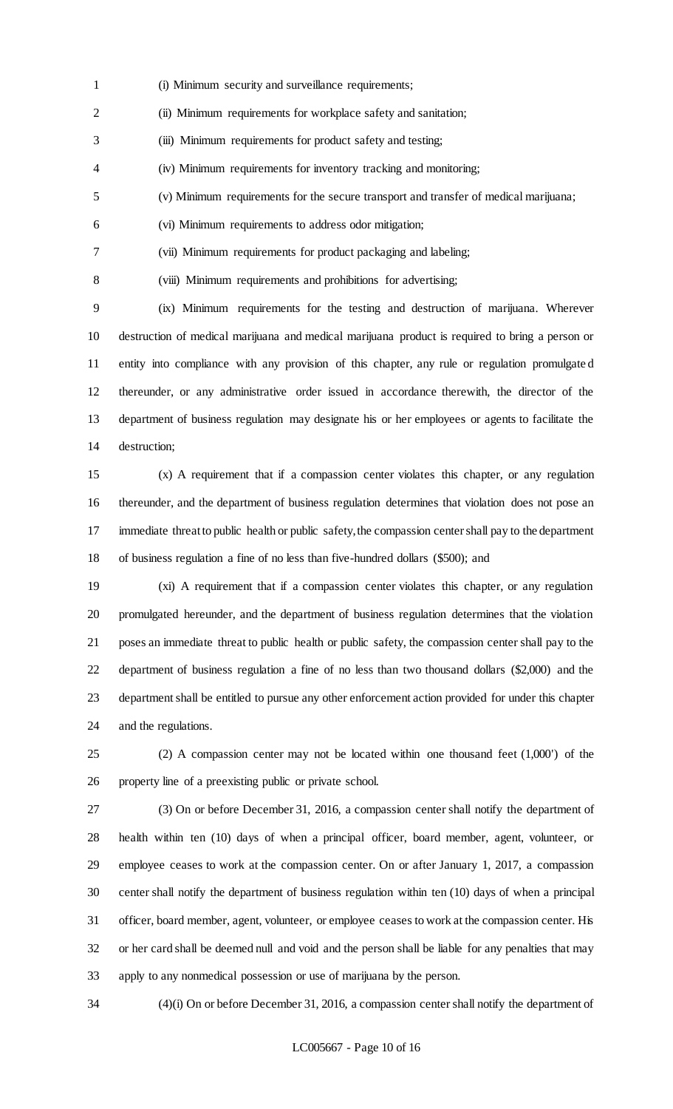- (i) Minimum security and surveillance requirements;
- 2 (ii) Minimum requirements for workplace safety and sanitation;
- (iii) Minimum requirements for product safety and testing;
- (iv) Minimum requirements for inventory tracking and monitoring;
- (v) Minimum requirements for the secure transport and transfer of medical marijuana;
- (vi) Minimum requirements to address odor mitigation;
- (vii) Minimum requirements for product packaging and labeling;
- 

(viii) Minimum requirements and prohibitions for advertising;

 (ix) Minimum requirements for the testing and destruction of marijuana. Wherever destruction of medical marijuana and medical marijuana product is required to bring a person or entity into compliance with any provision of this chapter, any rule or regulation promulgate d thereunder, or any administrative order issued in accordance therewith, the director of the department of business regulation may designate his or her employees or agents to facilitate the destruction;

 (x) A requirement that if a compassion center violates this chapter, or any regulation thereunder, and the department of business regulation determines that violation does not pose an immediate threat to public health or public safety, the compassion center shall pay to the department of business regulation a fine of no less than five-hundred dollars (\$500); and

 (xi) A requirement that if a compassion center violates this chapter, or any regulation promulgated hereunder, and the department of business regulation determines that the violation poses an immediate threat to public health or public safety, the compassion center shall pay to the department of business regulation a fine of no less than two thousand dollars (\$2,000) and the department shall be entitled to pursue any other enforcement action provided for under this chapter and the regulations.

 (2) A compassion center may not be located within one thousand feet (1,000') of the property line of a preexisting public or private school.

 (3) On or before December 31, 2016, a compassion center shall notify the department of health within ten (10) days of when a principal officer, board member, agent, volunteer, or employee ceases to work at the compassion center. On or after January 1, 2017, a compassion center shall notify the department of business regulation within ten (10) days of when a principal officer, board member, agent, volunteer, or employee ceases to work at the compassion center. His or her card shall be deemed null and void and the person shall be liable for any penalties that may apply to any nonmedical possession or use of marijuana by the person.

(4)(i) On or before December 31, 2016, a compassion center shall notify the department of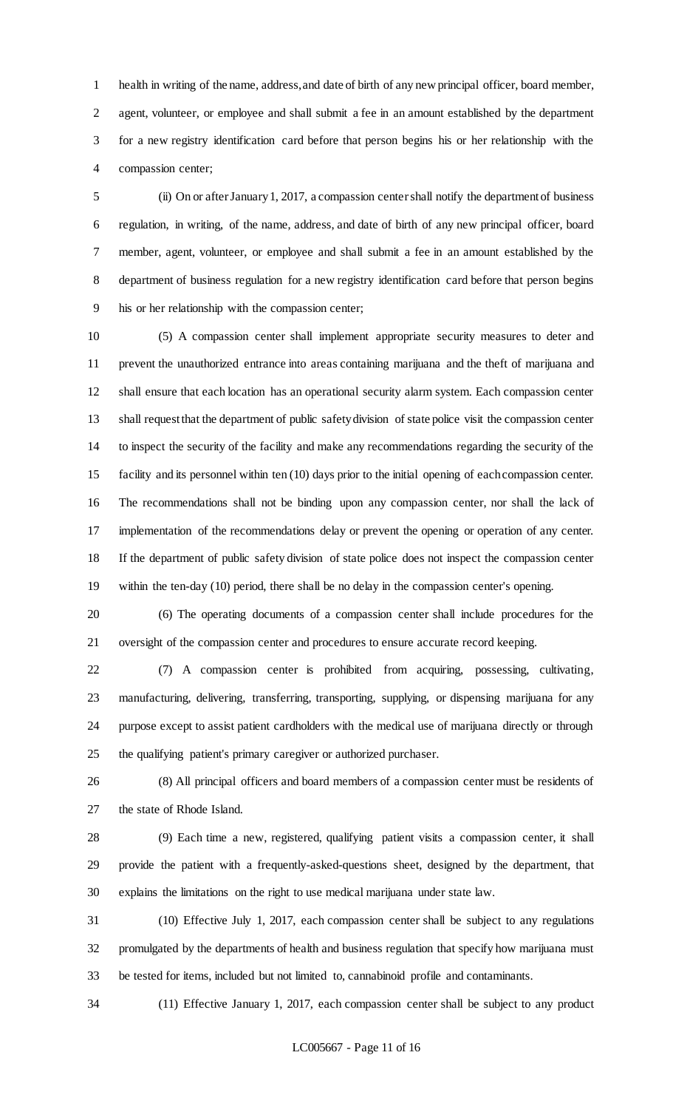health in writing of the name, address, and date of birth of any new principal officer, board member, agent, volunteer, or employee and shall submit a fee in an amount established by the department for a new registry identification card before that person begins his or her relationship with the compassion center;

 (ii) On or after January 1, 2017, a compassion center shall notify the department of business regulation, in writing, of the name, address, and date of birth of any new principal officer, board member, agent, volunteer, or employee and shall submit a fee in an amount established by the department of business regulation for a new registry identification card before that person begins his or her relationship with the compassion center;

 (5) A compassion center shall implement appropriate security measures to deter and prevent the unauthorized entrance into areas containing marijuana and the theft of marijuana and shall ensure that each location has an operational security alarm system. Each compassion center shall request that the department of public safety division of state police visit the compassion center to inspect the security of the facility and make any recommendations regarding the security of the facility and its personnel within ten (10) days prior to the initial opening of each compassion center. The recommendations shall not be binding upon any compassion center, nor shall the lack of implementation of the recommendations delay or prevent the opening or operation of any center. If the department of public safety division of state police does not inspect the compassion center within the ten-day (10) period, there shall be no delay in the compassion center's opening.

 (6) The operating documents of a compassion center shall include procedures for the oversight of the compassion center and procedures to ensure accurate record keeping.

 (7) A compassion center is prohibited from acquiring, possessing, cultivating, manufacturing, delivering, transferring, transporting, supplying, or dispensing marijuana for any purpose except to assist patient cardholders with the medical use of marijuana directly or through the qualifying patient's primary caregiver or authorized purchaser.

 (8) All principal officers and board members of a compassion center must be residents of the state of Rhode Island.

 (9) Each time a new, registered, qualifying patient visits a compassion center, it shall provide the patient with a frequently-asked-questions sheet, designed by the department, that explains the limitations on the right to use medical marijuana under state law.

 (10) Effective July 1, 2017, each compassion center shall be subject to any regulations promulgated by the departments of health and business regulation that specify how marijuana must be tested for items, included but not limited to, cannabinoid profile and contaminants.

(11) Effective January 1, 2017, each compassion center shall be subject to any product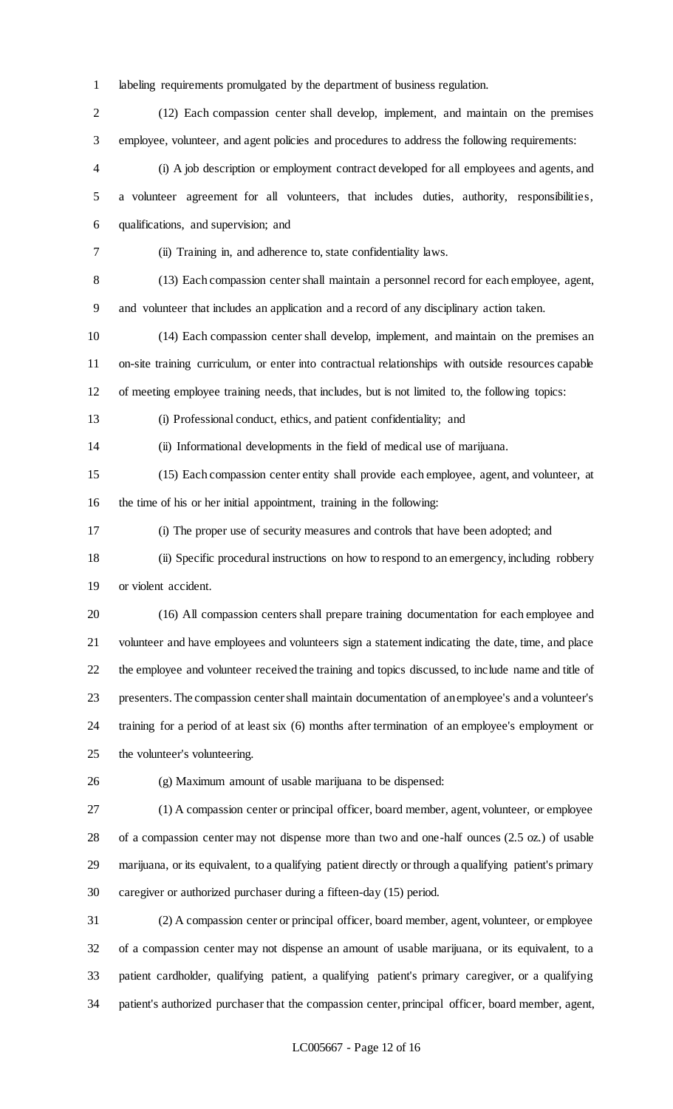labeling requirements promulgated by the department of business regulation.

 (12) Each compassion center shall develop, implement, and maintain on the premises employee, volunteer, and agent policies and procedures to address the following requirements:

 (i) A job description or employment contract developed for all employees and agents, and a volunteer agreement for all volunteers, that includes duties, authority, responsibilities, qualifications, and supervision; and

(ii) Training in, and adherence to, state confidentiality laws.

 (13) Each compassion center shall maintain a personnel record for each employee, agent, and volunteer that includes an application and a record of any disciplinary action taken.

 (14) Each compassion center shall develop, implement, and maintain on the premises an on-site training curriculum, or enter into contractual relationships with outside resources capable of meeting employee training needs, that includes, but is not limited to, the following topics:

(i) Professional conduct, ethics, and patient confidentiality; and

(ii) Informational developments in the field of medical use of marijuana.

 (15) Each compassion center entity shall provide each employee, agent, and volunteer, at the time of his or her initial appointment, training in the following:

(i) The proper use of security measures and controls that have been adopted; and

 (ii) Specific procedural instructions on how to respond to an emergency, including robbery or violent accident.

 (16) All compassion centers shall prepare training documentation for each employee and volunteer and have employees and volunteers sign a statement indicating the date, time, and place the employee and volunteer received the training and topics discussed, to include name and title of presenters. The compassion center shall maintain documentation of an employee's and a volunteer's training for a period of at least six (6) months after termination of an employee's employment or the volunteer's volunteering.

(g) Maximum amount of usable marijuana to be dispensed:

 (1) A compassion center or principal officer, board member, agent, volunteer, or employee of a compassion center may not dispense more than two and one-half ounces (2.5 oz.) of usable marijuana, or its equivalent, to a qualifying patient directly or through a qualifying patient's primary caregiver or authorized purchaser during a fifteen-day (15) period.

 (2) A compassion center or principal officer, board member, agent, volunteer, or employee of a compassion center may not dispense an amount of usable marijuana, or its equivalent, to a patient cardholder, qualifying patient, a qualifying patient's primary caregiver, or a qualifying patient's authorized purchaser that the compassion center, principal officer, board member, agent,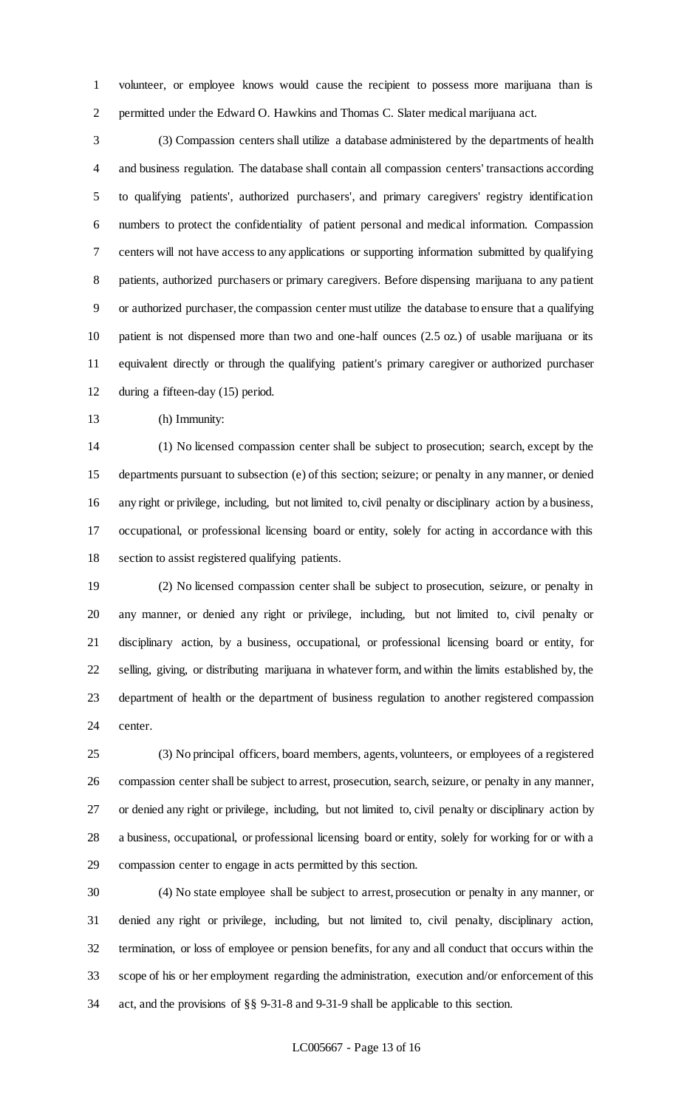volunteer, or employee knows would cause the recipient to possess more marijuana than is permitted under the Edward O. Hawkins and Thomas C. Slater medical marijuana act.

 (3) Compassion centers shall utilize a database administered by the departments of health and business regulation. The database shall contain all compassion centers' transactions according to qualifying patients', authorized purchasers', and primary caregivers' registry identification numbers to protect the confidentiality of patient personal and medical information. Compassion centers will not have access to any applications or supporting information submitted by qualifying patients, authorized purchasers or primary caregivers. Before dispensing marijuana to any patient or authorized purchaser, the compassion center must utilize the database to ensure that a qualifying patient is not dispensed more than two and one-half ounces (2.5 oz.) of usable marijuana or its equivalent directly or through the qualifying patient's primary caregiver or authorized purchaser during a fifteen-day (15) period.

(h) Immunity:

 (1) No licensed compassion center shall be subject to prosecution; search, except by the departments pursuant to subsection (e) of this section; seizure; or penalty in any manner, or denied any right or privilege, including, but not limited to, civil penalty or disciplinary action by a business, occupational, or professional licensing board or entity, solely for acting in accordance with this section to assist registered qualifying patients.

 (2) No licensed compassion center shall be subject to prosecution, seizure, or penalty in any manner, or denied any right or privilege, including, but not limited to, civil penalty or disciplinary action, by a business, occupational, or professional licensing board or entity, for selling, giving, or distributing marijuana in whatever form, and within the limits established by, the department of health or the department of business regulation to another registered compassion center.

 (3) No principal officers, board members, agents, volunteers, or employees of a registered compassion center shall be subject to arrest, prosecution, search, seizure, or penalty in any manner, or denied any right or privilege, including, but not limited to, civil penalty or disciplinary action by a business, occupational, or professional licensing board or entity, solely for working for or with a compassion center to engage in acts permitted by this section.

 (4) No state employee shall be subject to arrest, prosecution or penalty in any manner, or denied any right or privilege, including, but not limited to, civil penalty, disciplinary action, termination, or loss of employee or pension benefits, for any and all conduct that occurs within the scope of his or her employment regarding the administration, execution and/or enforcement of this act, and the provisions of §§ 9-31-8 and 9-31-9 shall be applicable to this section.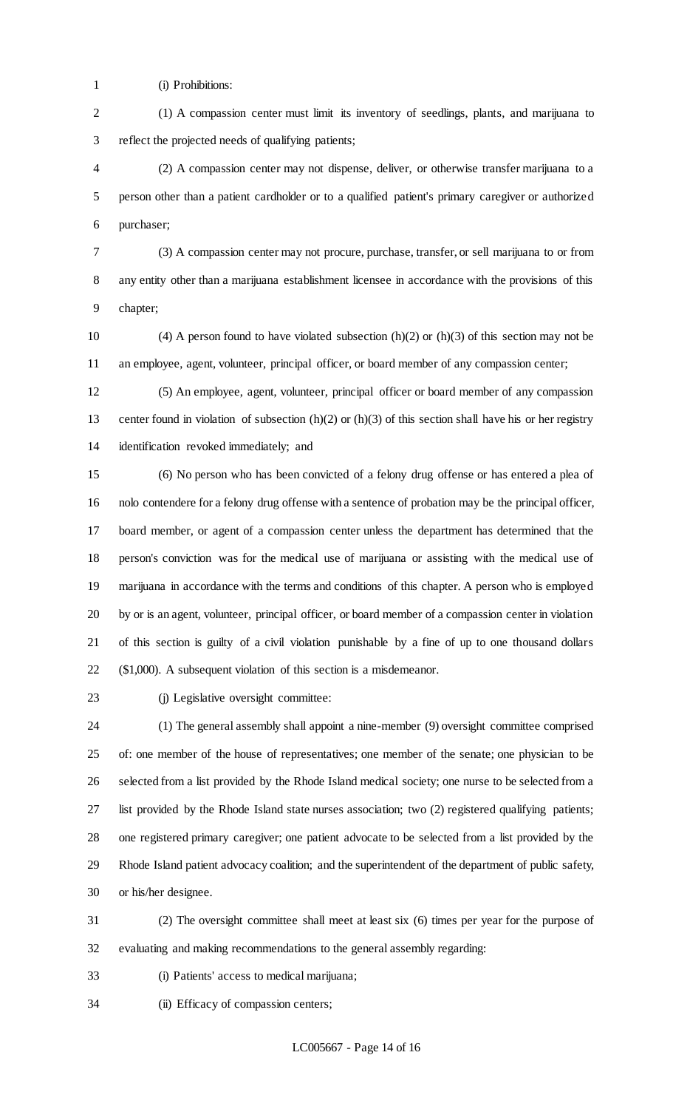- (i) Prohibitions:
- (1) A compassion center must limit its inventory of seedlings, plants, and marijuana to reflect the projected needs of qualifying patients;

 (2) A compassion center may not dispense, deliver, or otherwise transfer marijuana to a person other than a patient cardholder or to a qualified patient's primary caregiver or authorized purchaser;

- (3) A compassion center may not procure, purchase, transfer, or sell marijuana to or from any entity other than a marijuana establishment licensee in accordance with the provisions of this chapter;
- 10 (4) A person found to have violated subsection  $(h)(2)$  or  $(h)(3)$  of this section may not be an employee, agent, volunteer, principal officer, or board member of any compassion center;

 (5) An employee, agent, volunteer, principal officer or board member of any compassion center found in violation of subsection (h)(2) or (h)(3) of this section shall have his or her registry identification revoked immediately; and

 (6) No person who has been convicted of a felony drug offense or has entered a plea of nolo contendere for a felony drug offense with a sentence of probation may be the principal officer, board member, or agent of a compassion center unless the department has determined that the person's conviction was for the medical use of marijuana or assisting with the medical use of marijuana in accordance with the terms and conditions of this chapter. A person who is employed by or is an agent, volunteer, principal officer, or board member of a compassion center in violation of this section is guilty of a civil violation punishable by a fine of up to one thousand dollars (\$1,000). A subsequent violation of this section is a misdemeanor.

(j) Legislative oversight committee:

 (1) The general assembly shall appoint a nine-member (9) oversight committee comprised of: one member of the house of representatives; one member of the senate; one physician to be selected from a list provided by the Rhode Island medical society; one nurse to be selected from a list provided by the Rhode Island state nurses association; two (2) registered qualifying patients; one registered primary caregiver; one patient advocate to be selected from a list provided by the Rhode Island patient advocacy coalition; and the superintendent of the department of public safety, or his/her designee.

 (2) The oversight committee shall meet at least six (6) times per year for the purpose of evaluating and making recommendations to the general assembly regarding:

- (i) Patients' access to medical marijuana;
- (ii) Efficacy of compassion centers;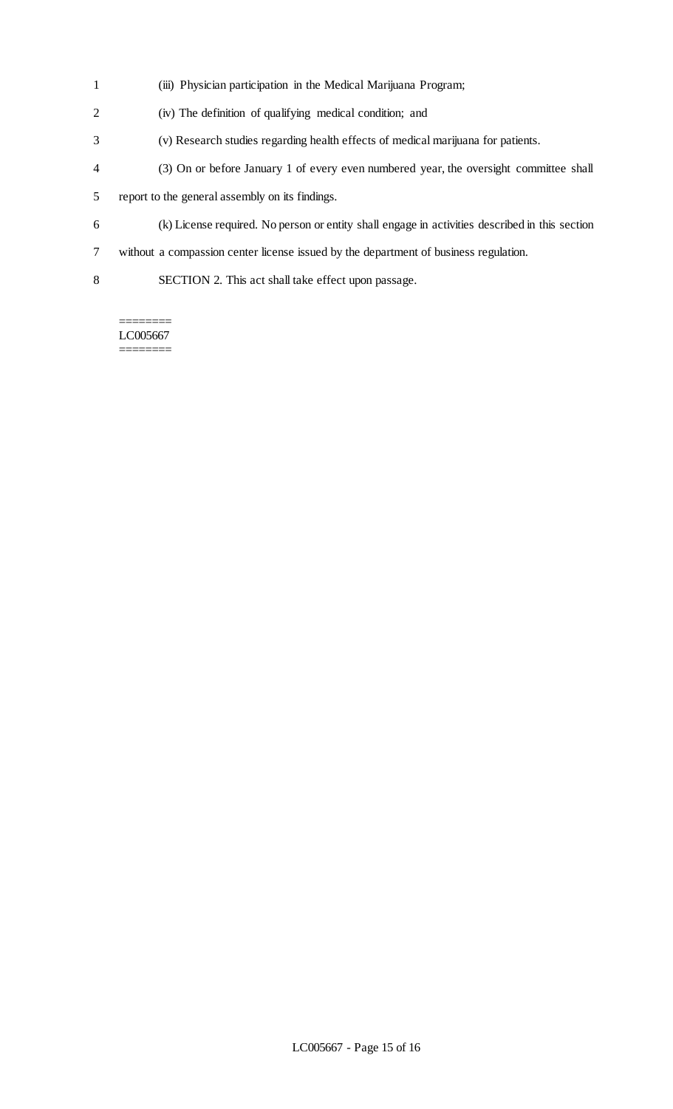- (iii) Physician participation in the Medical Marijuana Program;
- (iv) The definition of qualifying medical condition; and
- (v) Research studies regarding health effects of medical marijuana for patients.
- (3) On or before January 1 of every even numbered year, the oversight committee shall
- report to the general assembly on its findings.
- (k) License required. No person or entity shall engage in activities described in this section
- without a compassion center license issued by the department of business regulation.
- SECTION 2. This act shall take effect upon passage.

LC005667 ========

 $=$